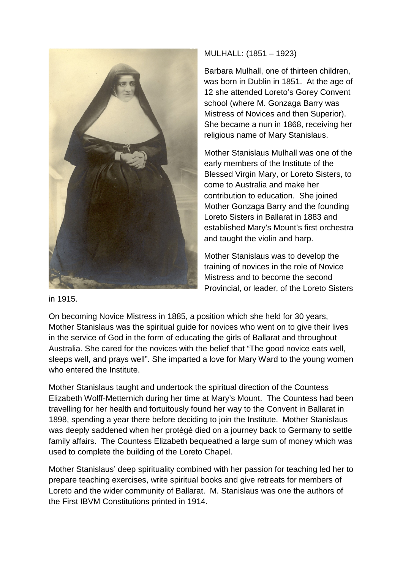

MULHALL: (1851 – 1923)

Barbara Mulhall, one of thirteen children, was born in Dublin in 1851. At the age of 12 she attended Loreto's Gorey Convent school (where M. Gonzaga Barry was Mistress of Novices and then Superior). She became a nun in 1868, receiving her religious name of Mary Stanislaus.

Mother Stanislaus Mulhall was one of the early members of the Institute of the Blessed Virgin Mary, or Loreto Sisters, to come to Australia and make her contribution to education. She joined Mother Gonzaga Barry and the founding Loreto Sisters in Ballarat in 1883 and established Mary's Mount's first orchestra and taught the violin and harp.

Mother Stanislaus was to develop the training of novices in the role of Novice Mistress and to become the second Provincial, or leader, of the Loreto Sisters

in 1915.

On becoming Novice Mistress in 1885, a position which she held for 30 years, Mother Stanislaus was the spiritual guide for novices who went on to give their lives in the service of God in the form of educating the girls of Ballarat and throughout Australia. She cared for the novices with the belief that "The good novice eats well, sleeps well, and prays well". She imparted a love for Mary Ward to the young women who entered the Institute.

Mother Stanislaus taught and undertook the spiritual direction of the Countess Elizabeth Wolff-Metternich during her time at Mary's Mount. The Countess had been travelling for her health and fortuitously found her way to the Convent in Ballarat in 1898, spending a year there before deciding to join the Institute. Mother Stanislaus was deeply saddened when her protégé died on a journey back to Germany to settle family affairs. The Countess Elizabeth bequeathed a large sum of money which was used to complete the building of the Loreto Chapel.

Mother Stanislaus' deep spirituality combined with her passion for teaching led her to prepare teaching exercises, write spiritual books and give retreats for members of Loreto and the wider community of Ballarat. M. Stanislaus was one the authors of the First IBVM Constitutions printed in 1914.